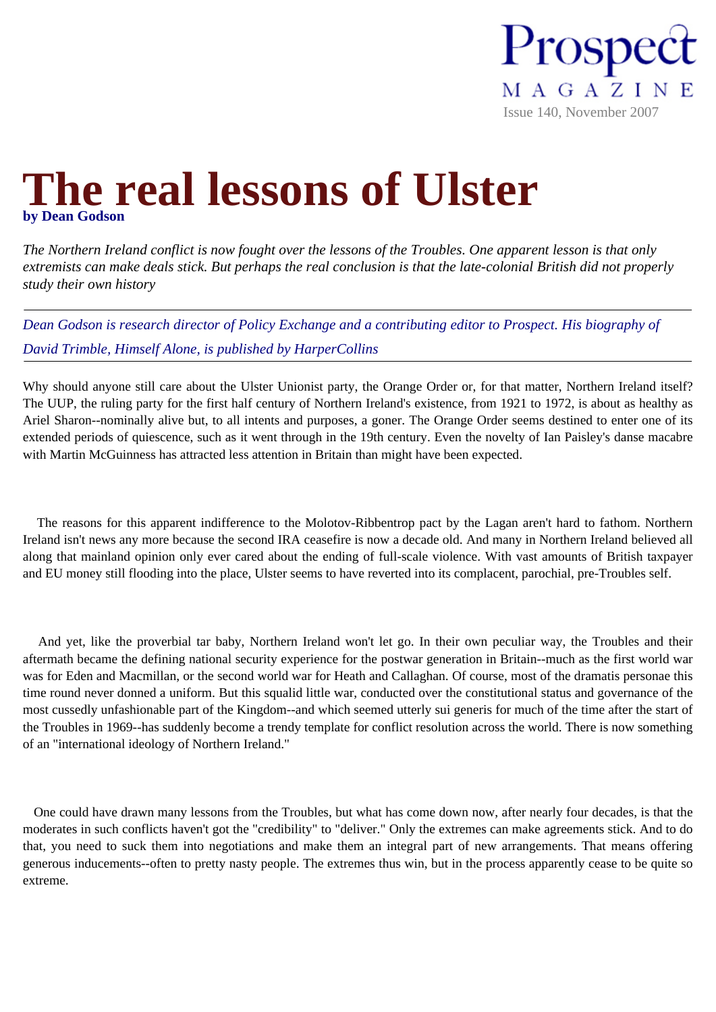

## **The real lessons of Ulster by Dean Godson**

*The Northern Ireland conflict is now fought over the lessons of the Troubles. One apparent lesson is that only extremists can make deals stick. But perhaps the real conclusion is that the late-colonial British did not properly study their own history*

*Dean Godson is research director of Policy Exchange and a contributing editor to Prospect. His biography of David Trimble, Himself Alone, is published by HarperCollins*

Why should anyone still care about the Ulster Unionist party, the Orange Order or, for that matter, Northern Ireland itself? The UUP, the ruling party for the first half century of Northern Ireland's existence, from 1921 to 1972, is about as healthy as Ariel Sharon--nominally alive but, to all intents and purposes, a goner. The Orange Order seems destined to enter one of its extended periods of quiescence, such as it went through in the 19th century. Even the novelty of Ian Paisley's danse macabre with Martin McGuinness has attracted less attention in Britain than might have been expected.

 The reasons for this apparent indifference to the Molotov-Ribbentrop pact by the Lagan aren't hard to fathom. Northern Ireland isn't news any more because the second IRA ceasefire is now a decade old. And many in Northern Ireland believed all along that mainland opinion only ever cared about the ending of full-scale violence. With vast amounts of British taxpayer and EU money still flooding into the place, Ulster seems to have reverted into its complacent, parochial, pre-Troubles self.

 And yet, like the proverbial tar baby, Northern Ireland won't let go. In their own peculiar way, the Troubles and their aftermath became the defining national security experience for the postwar generation in Britain--much as the first world war was for Eden and Macmillan, or the second world war for Heath and Callaghan. Of course, most of the dramatis personae this time round never donned a uniform. But this squalid little war, conducted over the constitutional status and governance of the most cussedly unfashionable part of the Kingdom--and which seemed utterly sui generis for much of the time after the start of the Troubles in 1969--has suddenly become a trendy template for conflict resolution across the world. There is now something of an "international ideology of Northern Ireland."

 One could have drawn many lessons from the Troubles, but what has come down now, after nearly four decades, is that the moderates in such conflicts haven't got the "credibility" to "deliver." Only the extremes can make agreements stick. And to do that, you need to suck them into negotiations and make them an integral part of new arrangements. That means offering generous inducements--often to pretty nasty people. The extremes thus win, but in the process apparently cease to be quite so extreme.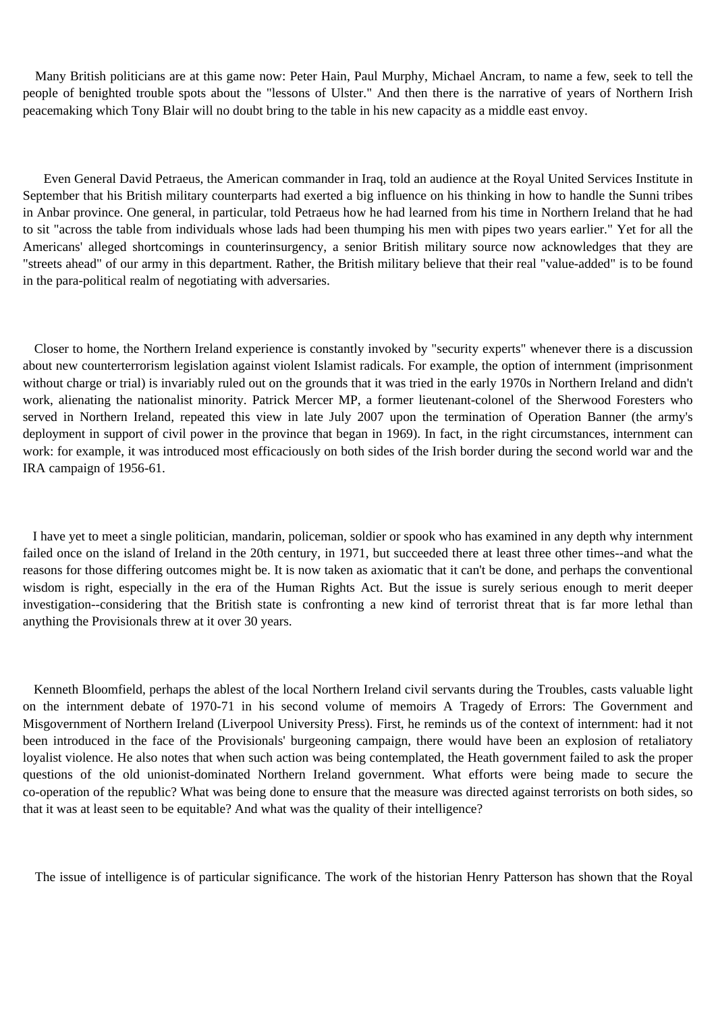Many British politicians are at this game now: Peter Hain, Paul Murphy, Michael Ancram, to name a few, seek to tell the people of benighted trouble spots about the "lessons of Ulster." And then there is the narrative of years of Northern Irish peacemaking which Tony Blair will no doubt bring to the table in his new capacity as a middle east envoy.

 Even General David Petraeus, the American commander in Iraq, told an audience at the Royal United Services Institute in September that his British military counterparts had exerted a big influence on his thinking in how to handle the Sunni tribes in Anbar province. One general, in particular, told Petraeus how he had learned from his time in Northern Ireland that he had to sit "across the table from individuals whose lads had been thumping his men with pipes two years earlier." Yet for all the Americans' alleged shortcomings in counterinsurgency, a senior British military source now acknowledges that they are "streets ahead" of our army in this department. Rather, the British military believe that their real "value-added" is to be found in the para-political realm of negotiating with adversaries.

 Closer to home, the Northern Ireland experience is constantly invoked by "security experts" whenever there is a discussion about new counterterrorism legislation against violent Islamist radicals. For example, the option of internment (imprisonment without charge or trial) is invariably ruled out on the grounds that it was tried in the early 1970s in Northern Ireland and didn't work, alienating the nationalist minority. Patrick Mercer MP, a former lieutenant-colonel of the Sherwood Foresters who served in Northern Ireland, repeated this view in late July 2007 upon the termination of Operation Banner (the army's deployment in support of civil power in the province that began in 1969). In fact, in the right circumstances, internment can work: for example, it was introduced most efficaciously on both sides of the Irish border during the second world war and the IRA campaign of 1956-61.

 I have yet to meet a single politician, mandarin, policeman, soldier or spook who has examined in any depth why internment failed once on the island of Ireland in the 20th century, in 1971, but succeeded there at least three other times--and what the reasons for those differing outcomes might be. It is now taken as axiomatic that it can't be done, and perhaps the conventional wisdom is right, especially in the era of the Human Rights Act. But the issue is surely serious enough to merit deeper investigation--considering that the British state is confronting a new kind of terrorist threat that is far more lethal than anything the Provisionals threw at it over 30 years.

 Kenneth Bloomfield, perhaps the ablest of the local Northern Ireland civil servants during the Troubles, casts valuable light on the internment debate of 1970-71 in his second volume of memoirs A Tragedy of Errors: The Government and Misgovernment of Northern Ireland (Liverpool University Press). First, he reminds us of the context of internment: had it not been introduced in the face of the Provisionals' burgeoning campaign, there would have been an explosion of retaliatory loyalist violence. He also notes that when such action was being contemplated, the Heath government failed to ask the proper questions of the old unionist-dominated Northern Ireland government. What efforts were being made to secure the co-operation of the republic? What was being done to ensure that the measure was directed against terrorists on both sides, so that it was at least seen to be equitable? And what was the quality of their intelligence?

The issue of intelligence is of particular significance. The work of the historian Henry Patterson has shown that the Royal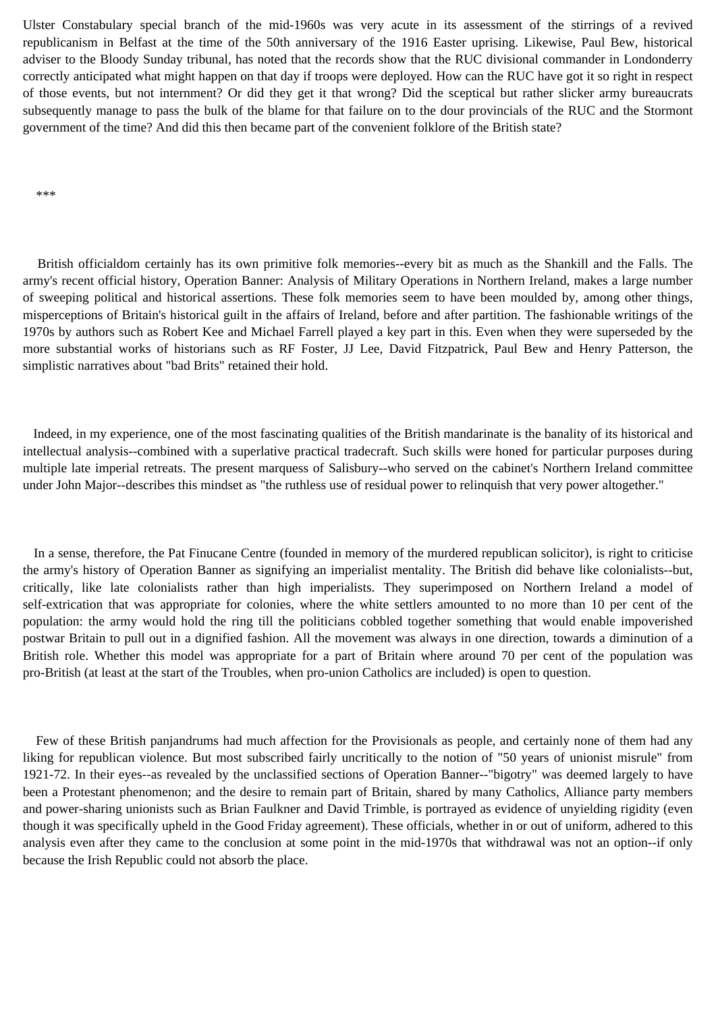Ulster Constabulary special branch of the mid-1960s was very acute in its assessment of the stirrings of a revived republicanism in Belfast at the time of the 50th anniversary of the 1916 Easter uprising. Likewise, Paul Bew, historical adviser to the Bloody Sunday tribunal, has noted that the records show that the RUC divisional commander in Londonderry correctly anticipated what might happen on that day if troops were deployed. How can the RUC have got it so right in respect of those events, but not internment? Or did they get it that wrong? Did the sceptical but rather slicker army bureaucrats subsequently manage to pass the bulk of the blame for that failure on to the dour provincials of the RUC and the Stormont government of the time? And did this then became part of the convenient folklore of the British state?

\*\*\*

 British officialdom certainly has its own primitive folk memories--every bit as much as the Shankill and the Falls. The army's recent official history, Operation Banner: Analysis of Military Operations in Northern Ireland, makes a large number of sweeping political and historical assertions. These folk memories seem to have been moulded by, among other things, misperceptions of Britain's historical guilt in the affairs of Ireland, before and after partition. The fashionable writings of the 1970s by authors such as Robert Kee and Michael Farrell played a key part in this. Even when they were superseded by the more substantial works of historians such as RF Foster, JJ Lee, David Fitzpatrick, Paul Bew and Henry Patterson, the simplistic narratives about "bad Brits" retained their hold.

 Indeed, in my experience, one of the most fascinating qualities of the British mandarinate is the banality of its historical and intellectual analysis--combined with a superlative practical tradecraft. Such skills were honed for particular purposes during multiple late imperial retreats. The present marquess of Salisbury--who served on the cabinet's Northern Ireland committee under John Major--describes this mindset as "the ruthless use of residual power to relinquish that very power altogether."

 In a sense, therefore, the Pat Finucane Centre (founded in memory of the murdered republican solicitor), is right to criticise the army's history of Operation Banner as signifying an imperialist mentality. The British did behave like colonialists--but, critically, like late colonialists rather than high imperialists. They superimposed on Northern Ireland a model of self-extrication that was appropriate for colonies, where the white settlers amounted to no more than 10 per cent of the population: the army would hold the ring till the politicians cobbled together something that would enable impoverished postwar Britain to pull out in a dignified fashion. All the movement was always in one direction, towards a diminution of a British role. Whether this model was appropriate for a part of Britain where around 70 per cent of the population was pro-British (at least at the start of the Troubles, when pro-union Catholics are included) is open to question.

 Few of these British panjandrums had much affection for the Provisionals as people, and certainly none of them had any liking for republican violence. But most subscribed fairly uncritically to the notion of "50 years of unionist misrule" from 1921-72. In their eyes--as revealed by the unclassified sections of Operation Banner--"bigotry" was deemed largely to have been a Protestant phenomenon; and the desire to remain part of Britain, shared by many Catholics, Alliance party members and power-sharing unionists such as Brian Faulkner and David Trimble, is portrayed as evidence of unyielding rigidity (even though it was specifically upheld in the Good Friday agreement). These officials, whether in or out of uniform, adhered to this analysis even after they came to the conclusion at some point in the mid-1970s that withdrawal was not an option--if only because the Irish Republic could not absorb the place.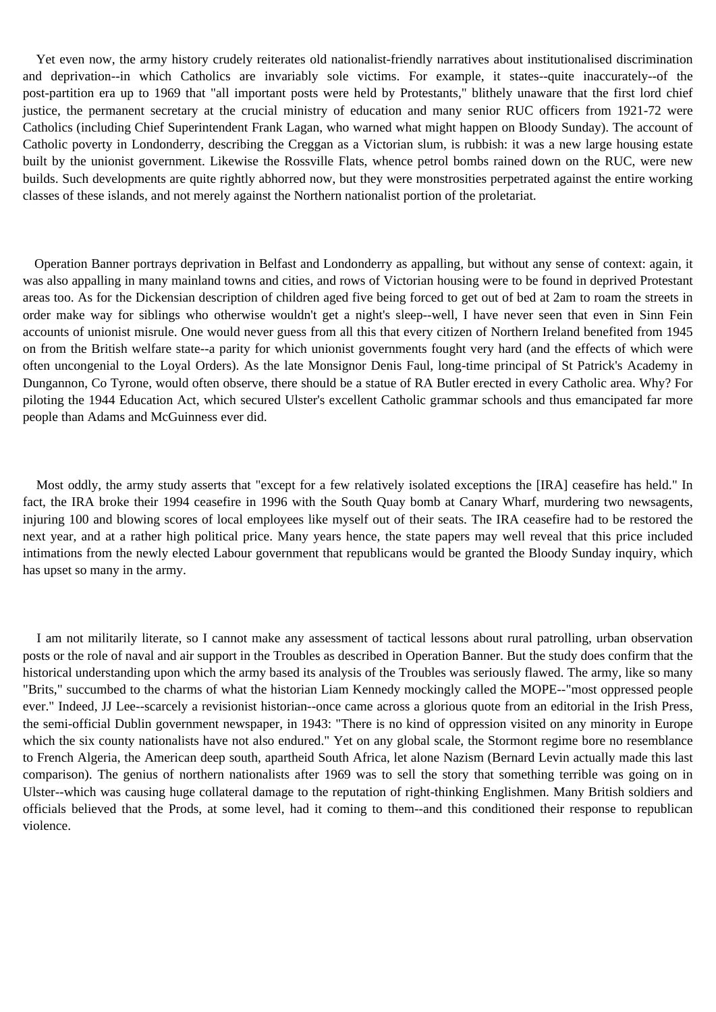Yet even now, the army history crudely reiterates old nationalist-friendly narratives about institutionalised discrimination and deprivation--in which Catholics are invariably sole victims. For example, it states--quite inaccurately--of the post-partition era up to 1969 that "all important posts were held by Protestants," blithely unaware that the first lord chief justice, the permanent secretary at the crucial ministry of education and many senior RUC officers from 1921-72 were Catholics (including Chief Superintendent Frank Lagan, who warned what might happen on Bloody Sunday). The account of Catholic poverty in Londonderry, describing the Creggan as a Victorian slum, is rubbish: it was a new large housing estate built by the unionist government. Likewise the Rossville Flats, whence petrol bombs rained down on the RUC, were new builds. Such developments are quite rightly abhorred now, but they were monstrosities perpetrated against the entire working classes of these islands, and not merely against the Northern nationalist portion of the proletariat.

 Operation Banner portrays deprivation in Belfast and Londonderry as appalling, but without any sense of context: again, it was also appalling in many mainland towns and cities, and rows of Victorian housing were to be found in deprived Protestant areas too. As for the Dickensian description of children aged five being forced to get out of bed at 2am to roam the streets in order make way for siblings who otherwise wouldn't get a night's sleep--well, I have never seen that even in Sinn Fein accounts of unionist misrule. One would never guess from all this that every citizen of Northern Ireland benefited from 1945 on from the British welfare state--a parity for which unionist governments fought very hard (and the effects of which were often uncongenial to the Loyal Orders). As the late Monsignor Denis Faul, long-time principal of St Patrick's Academy in Dungannon, Co Tyrone, would often observe, there should be a statue of RA Butler erected in every Catholic area. Why? For piloting the 1944 Education Act, which secured Ulster's excellent Catholic grammar schools and thus emancipated far more people than Adams and McGuinness ever did.

 Most oddly, the army study asserts that "except for a few relatively isolated exceptions the [IRA] ceasefire has held." In fact, the IRA broke their 1994 ceasefire in 1996 with the South Quay bomb at Canary Wharf, murdering two newsagents, injuring 100 and blowing scores of local employees like myself out of their seats. The IRA ceasefire had to be restored the next year, and at a rather high political price. Many years hence, the state papers may well reveal that this price included intimations from the newly elected Labour government that republicans would be granted the Bloody Sunday inquiry, which has upset so many in the army.

 I am not militarily literate, so I cannot make any assessment of tactical lessons about rural patrolling, urban observation posts or the role of naval and air support in the Troubles as described in Operation Banner. But the study does confirm that the historical understanding upon which the army based its analysis of the Troubles was seriously flawed. The army, like so many "Brits," succumbed to the charms of what the historian Liam Kennedy mockingly called the MOPE--"most oppressed people ever." Indeed, JJ Lee--scarcely a revisionist historian--once came across a glorious quote from an editorial in the Irish Press, the semi-official Dublin government newspaper, in 1943: "There is no kind of oppression visited on any minority in Europe which the six county nationalists have not also endured." Yet on any global scale, the Stormont regime bore no resemblance to French Algeria, the American deep south, apartheid South Africa, let alone Nazism (Bernard Levin actually made this last comparison). The genius of northern nationalists after 1969 was to sell the story that something terrible was going on in Ulster--which was causing huge collateral damage to the reputation of right-thinking Englishmen. Many British soldiers and officials believed that the Prods, at some level, had it coming to them--and this conditioned their response to republican violence.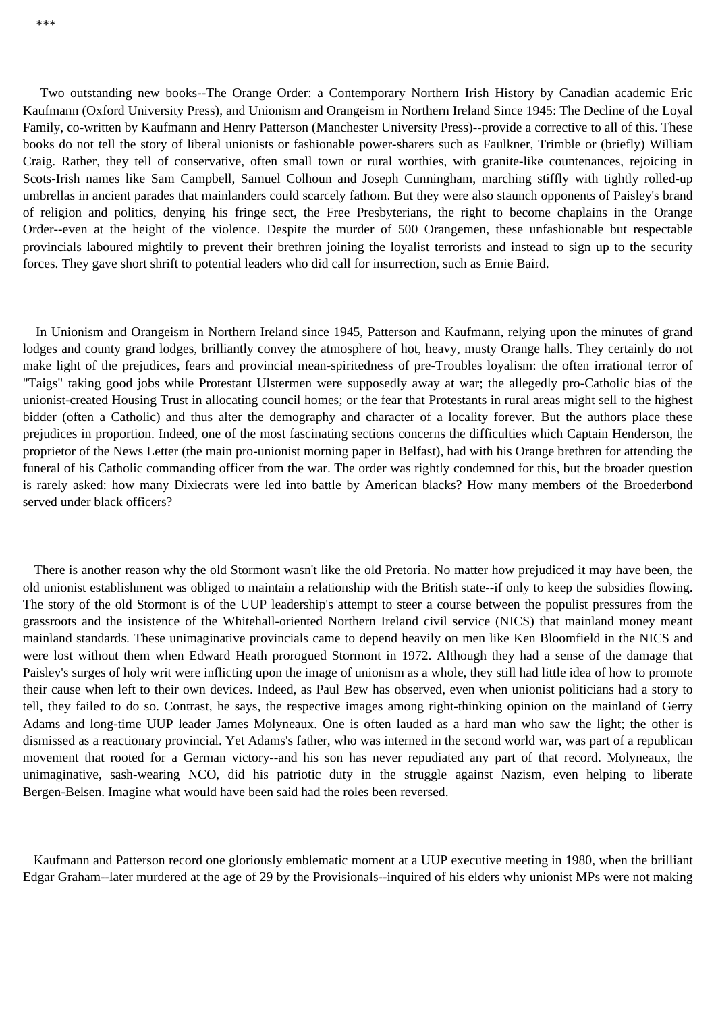Two outstanding new books--The Orange Order: a Contemporary Northern Irish History by Canadian academic Eric Kaufmann (Oxford University Press), and Unionism and Orangeism in Northern Ireland Since 1945: The Decline of the Loyal Family, co-written by Kaufmann and Henry Patterson (Manchester University Press)--provide a corrective to all of this. These books do not tell the story of liberal unionists or fashionable power-sharers such as Faulkner, Trimble or (briefly) William Craig. Rather, they tell of conservative, often small town or rural worthies, with granite-like countenances, rejoicing in Scots-Irish names like Sam Campbell, Samuel Colhoun and Joseph Cunningham, marching stiffly with tightly rolled-up umbrellas in ancient parades that mainlanders could scarcely fathom. But they were also staunch opponents of Paisley's brand of religion and politics, denying his fringe sect, the Free Presbyterians, the right to become chaplains in the Orange Order--even at the height of the violence. Despite the murder of 500 Orangemen, these unfashionable but respectable provincials laboured mightily to prevent their brethren joining the loyalist terrorists and instead to sign up to the security forces. They gave short shrift to potential leaders who did call for insurrection, such as Ernie Baird.

 In Unionism and Orangeism in Northern Ireland since 1945, Patterson and Kaufmann, relying upon the minutes of grand lodges and county grand lodges, brilliantly convey the atmosphere of hot, heavy, musty Orange halls. They certainly do not make light of the prejudices, fears and provincial mean-spiritedness of pre-Troubles loyalism: the often irrational terror of "Taigs" taking good jobs while Protestant Ulstermen were supposedly away at war; the allegedly pro-Catholic bias of the unionist-created Housing Trust in allocating council homes; or the fear that Protestants in rural areas might sell to the highest bidder (often a Catholic) and thus alter the demography and character of a locality forever. But the authors place these prejudices in proportion. Indeed, one of the most fascinating sections concerns the difficulties which Captain Henderson, the proprietor of the News Letter (the main pro-unionist morning paper in Belfast), had with his Orange brethren for attending the funeral of his Catholic commanding officer from the war. The order was rightly condemned for this, but the broader question is rarely asked: how many Dixiecrats were led into battle by American blacks? How many members of the Broederbond served under black officers?

 There is another reason why the old Stormont wasn't like the old Pretoria. No matter how prejudiced it may have been, the old unionist establishment was obliged to maintain a relationship with the British state--if only to keep the subsidies flowing. The story of the old Stormont is of the UUP leadership's attempt to steer a course between the populist pressures from the grassroots and the insistence of the Whitehall-oriented Northern Ireland civil service (NICS) that mainland money meant mainland standards. These unimaginative provincials came to depend heavily on men like Ken Bloomfield in the NICS and were lost without them when Edward Heath prorogued Stormont in 1972. Although they had a sense of the damage that Paisley's surges of holy writ were inflicting upon the image of unionism as a whole, they still had little idea of how to promote their cause when left to their own devices. Indeed, as Paul Bew has observed, even when unionist politicians had a story to tell, they failed to do so. Contrast, he says, the respective images among right-thinking opinion on the mainland of Gerry Adams and long-time UUP leader James Molyneaux. One is often lauded as a hard man who saw the light; the other is dismissed as a reactionary provincial. Yet Adams's father, who was interned in the second world war, was part of a republican movement that rooted for a German victory--and his son has never repudiated any part of that record. Molyneaux, the unimaginative, sash-wearing NCO, did his patriotic duty in the struggle against Nazism, even helping to liberate Bergen-Belsen. Imagine what would have been said had the roles been reversed.

 Kaufmann and Patterson record one gloriously emblematic moment at a UUP executive meeting in 1980, when the brilliant Edgar Graham--later murdered at the age of 29 by the Provisionals--inquired of his elders why unionist MPs were not making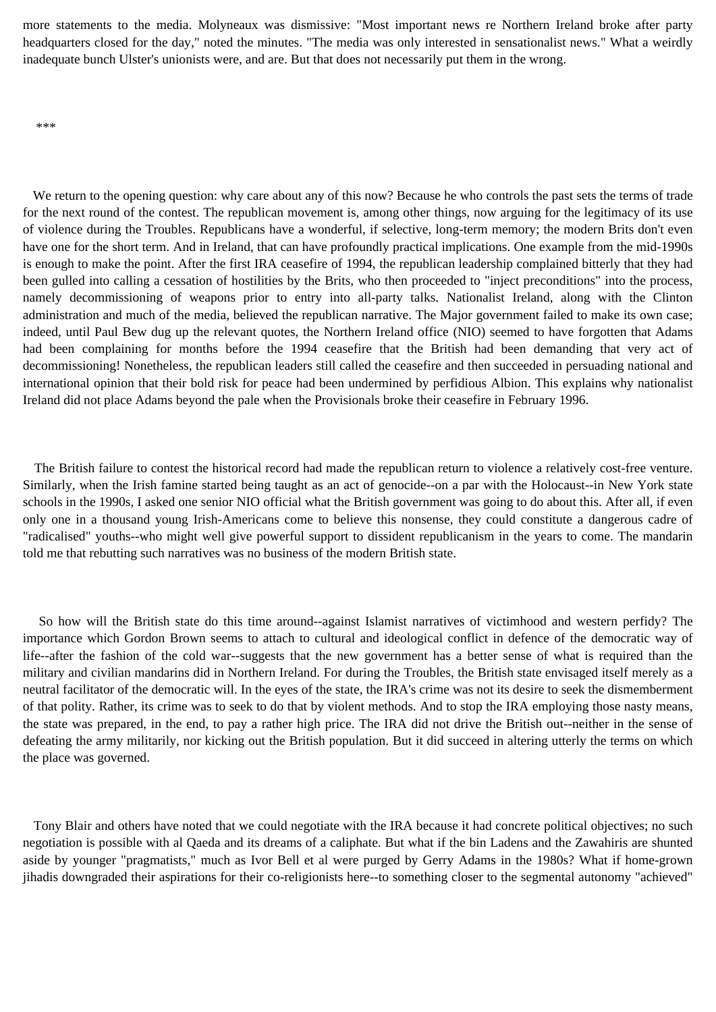more statements to the media. Molyneaux was dismissive: "Most important news re Northern Ireland broke after party headquarters closed for the day," noted the minutes. "The media was only interested in sensationalist news." What a weirdly inadequate bunch Ulster's unionists were, and are. But that does not necessarily put them in the wrong.

\*\*\*

We return to the opening question: why care about any of this now? Because he who controls the past sets the terms of trade for the next round of the contest. The republican movement is, among other things, now arguing for the legitimacy of its use of violence during the Troubles. Republicans have a wonderful, if selective, long-term memory; the modern Brits don't even have one for the short term. And in Ireland, that can have profoundly practical implications. One example from the mid-1990s is enough to make the point. After the first IRA ceasefire of 1994, the republican leadership complained bitterly that they had been gulled into calling a cessation of hostilities by the Brits, who then proceeded to "inject preconditions" into the process, namely decommissioning of weapons prior to entry into all-party talks. Nationalist Ireland, along with the Clinton administration and much of the media, believed the republican narrative. The Major government failed to make its own case; indeed, until Paul Bew dug up the relevant quotes, the Northern Ireland office (NIO) seemed to have forgotten that Adams had been complaining for months before the 1994 ceasefire that the British had been demanding that very act of decommissioning! Nonetheless, the republican leaders still called the ceasefire and then succeeded in persuading national and international opinion that their bold risk for peace had been undermined by perfidious Albion. This explains why nationalist Ireland did not place Adams beyond the pale when the Provisionals broke their ceasefire in February 1996.

 The British failure to contest the historical record had made the republican return to violence a relatively cost-free venture. Similarly, when the Irish famine started being taught as an act of genocide--on a par with the Holocaust--in New York state schools in the 1990s, I asked one senior NIO official what the British government was going to do about this. After all, if even only one in a thousand young Irish-Americans come to believe this nonsense, they could constitute a dangerous cadre of "radicalised" youths--who might well give powerful support to dissident republicanism in the years to come. The mandarin told me that rebutting such narratives was no business of the modern British state.

 So how will the British state do this time around--against Islamist narratives of victimhood and western perfidy? The importance which Gordon Brown seems to attach to cultural and ideological conflict in defence of the democratic way of life--after the fashion of the cold war--suggests that the new government has a better sense of what is required than the military and civilian mandarins did in Northern Ireland. For during the Troubles, the British state envisaged itself merely as a neutral facilitator of the democratic will. In the eyes of the state, the IRA's crime was not its desire to seek the dismemberment of that polity. Rather, its crime was to seek to do that by violent methods. And to stop the IRA employing those nasty means, the state was prepared, in the end, to pay a rather high price. The IRA did not drive the British out--neither in the sense of defeating the army militarily, nor kicking out the British population. But it did succeed in altering utterly the terms on which the place was governed.

 Tony Blair and others have noted that we could negotiate with the IRA because it had concrete political objectives; no such negotiation is possible with al Qaeda and its dreams of a caliphate. But what if the bin Ladens and the Zawahiris are shunted aside by younger "pragmatists," much as Ivor Bell et al were purged by Gerry Adams in the 1980s? What if home-grown jihadis downgraded their aspirations for their co-religionists here--to something closer to the segmental autonomy "achieved"